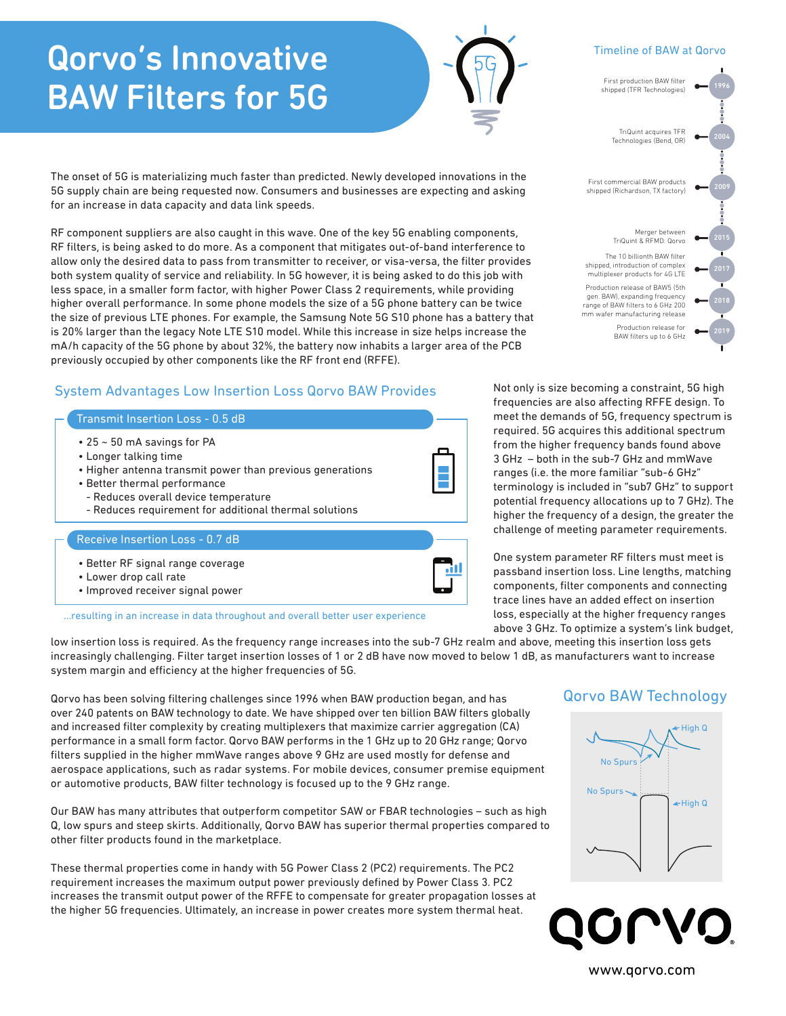# Qorvo's Innovative **BAW Filters for 5G**

The onset of 5G is materializing much faster than predicted. Newly developed innovations in the 5G supply chain are being requested now. Consumers and businesses are expecting and asking for an increase in data capacity and data link speeds.

RF component suppliers are also caught in this wave. One of the key 5G enabling components, RF filters, is being asked to do more. As a component that mitigates out-of-band interference to allow only the desired data to pass from transmitter to receiver, or visa-versa, the filter provides both system quality of service and reliability. In 5G however, it is being asked to do this job with less space, in a smaller form factor, with higher Power Class 2 requirements, while providing higher overall performance. In some phone models the size of a 5G phone battery can be twice the size of previous LTE phones. For example, the Samsung Note 5G S10 phone has a battery that is 20% larger than the legacy Note LTE S10 model. While this increase in size helps increase the mA/h capacity of the 5G phone by about 32%, the battery now inhabits a larger area of the PCB previously occupied by other components like the RF front end (RFFE).

# System Advantages Low Insertion Loss Qorvo BAW Provides

### Transmit Insertion Loss - 0.5 dB

- 25 ~ 50 mA savings for PA
- Longer talking time
- Higher antenna transmit power than previous generations
- Better thermal performance
- Reduces overall device temperature
- Reduces requirement for additional thermal solutions

#### Receive Insertion Loss - 0.7 dB

• Better RF signal range coverage • Lower drop call rate • Improved receiver signal power

...resulting in an increase in data throughout and overall better user experience

low insertion loss is required. As the frequency range increases into the sub-7 GHz realm and above, meeting this insertion loss gets increasingly challenging. Filter target insertion losses of 1 or 2 dB have now moved to below 1 dB, as manufacturers want to increase system margin and efficiency at the higher frequencies of 5G.

Qorvo has been solving filtering challenges since 1996 when BAW production began, and has over 240 patents on BAW technology to date. We have shipped over ten billion BAW filters globally and increased filter complexity by creating multiplexers that maximize carrier aggregation (CA) performance in a small form factor. Qorvo BAW performs in the 1 GHz up to 20 GHz range; Qorvo filters supplied in the higher mmWave ranges above 9 GHz are used mostly for defense and aerospace applications, such as radar systems. For mobile devices, consumer premise equipment or automotive products, BAW filter technology is focused up to the 9 GHz range.

Our BAW has many attributes that outperform competitor SAW or FBAR technologies – such as high Q, low spurs and steep skirts. Additionally, Qorvo BAW has superior thermal properties compared to other filter products found in the marketplace.

These thermal properties come in handy with 5G Power Class 2 (PC2) requirements. The PC2 requirement increases the maximum output power previously defined by Power Class 3. PC2 increases the transmit output power of the RFFE to compensate for greater propagation losses at the higher 5G frequencies. Ultimately, an increase in power creates more system thermal heat.

Not only is size becoming a constraint, 5G high frequencies are also affecting RFFE design. To meet the demands of 5G, frequency spectrum is required. 5G acquires this additional spectrum from the higher frequency bands found above 3 GHz – both in the sub-7 GHz and mmWave ranges (i.e. the more familiar "sub-6 GHz" terminology is included in "sub7 GHz" to support potential frequency allocations up to 7 GHz). The higher the frequency of a design, the greater the challenge of meeting parameter requirements.

One system parameter RF filters must meet is passband insertion loss. Line lengths, matching components, filter components and connecting trace lines have an added effect on insertion loss, especially at the higher frequency ranges above 3 GHz. To optimize a system's link budget,

# Qorvo BAW Technology



Timeline of BAW at Qorvo



BAW filters up to 6 GHz

**LVO** 

www.qorvo.com